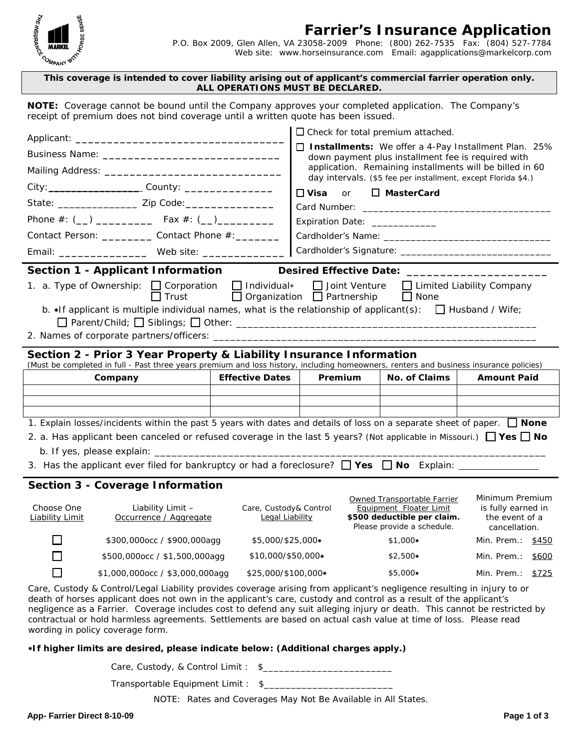

## **Farrier's Insurance Application**

 P.O. Box 2009, Glen Allen, VA 23058-2009 Phone: (800) 262-7535 Fax: (804) 527-7784 Web site: www.horseinsurance.com Email: agapplications@markelcorp.com

## **This coverage is intended to cover liability arising out of applicant's commercial farrier operation only. ALL OPERATIONS MUST BE DECLARED.**

**NOTE:** Coverage cannot be bound until the Company approves your completed application. The Company's receipt of premium does not bind coverage until a written quote has been issued.

|                                                                                                                                                                                                               |                                                                                                                               | $\Box$ Check for total premium attached.  |                                                                                                                |                                                                                                                     |                                                                          |  |
|---------------------------------------------------------------------------------------------------------------------------------------------------------------------------------------------------------------|-------------------------------------------------------------------------------------------------------------------------------|-------------------------------------------|----------------------------------------------------------------------------------------------------------------|---------------------------------------------------------------------------------------------------------------------|--------------------------------------------------------------------------|--|
|                                                                                                                                                                                                               |                                                                                                                               |                                           | □ Installments: We offer a 4-Pay Installment Plan. 25%                                                         |                                                                                                                     |                                                                          |  |
|                                                                                                                                                                                                               |                                                                                                                               |                                           | down payment plus installment fee is required with<br>application. Remaining installments will be billed in 60 |                                                                                                                     |                                                                          |  |
|                                                                                                                                                                                                               |                                                                                                                               |                                           | day intervals. (\$5 fee per installment, except Florida \$4.)                                                  |                                                                                                                     |                                                                          |  |
|                                                                                                                                                                                                               |                                                                                                                               |                                           | $\sqcap$ Visa<br>□ MasterCard<br>or                                                                            |                                                                                                                     |                                                                          |  |
|                                                                                                                                                                                                               |                                                                                                                               |                                           |                                                                                                                |                                                                                                                     |                                                                          |  |
|                                                                                                                                                                                                               |                                                                                                                               |                                           | Expiration Date: _____________                                                                                 |                                                                                                                     |                                                                          |  |
| Contact Person: ____________ Contact Phone #: ________                                                                                                                                                        |                                                                                                                               |                                           |                                                                                                                |                                                                                                                     |                                                                          |  |
| Email: ______________________ Web site: __________________                                                                                                                                                    |                                                                                                                               |                                           |                                                                                                                |                                                                                                                     |                                                                          |  |
| Section 1 - Applicant Information                                                                                                                                                                             |                                                                                                                               |                                           |                                                                                                                |                                                                                                                     |                                                                          |  |
| 1. a. Type of Ownership: □ Corporation □ Individual* □ Joint Venture □ Limited Liability Company<br>□ Organization □ Partnership<br>$\Box$ Trust<br>$\Box$ None                                               |                                                                                                                               |                                           |                                                                                                                |                                                                                                                     |                                                                          |  |
| b. $\star$ If applicant is multiple individual names, what is the relationship of applicant(s): $\Box$ Husband / Wife;                                                                                        |                                                                                                                               |                                           |                                                                                                                |                                                                                                                     |                                                                          |  |
|                                                                                                                                                                                                               |                                                                                                                               |                                           |                                                                                                                |                                                                                                                     |                                                                          |  |
| Section 2 - Prior 3 Year Property & Liability Insurance Information<br>(Must be completed in full - Past three years premium and loss history, including homeowners, renters and business insurance policies) |                                                                                                                               |                                           |                                                                                                                |                                                                                                                     |                                                                          |  |
|                                                                                                                                                                                                               |                                                                                                                               |                                           |                                                                                                                |                                                                                                                     |                                                                          |  |
|                                                                                                                                                                                                               | Company                                                                                                                       | <b>Effective Dates</b>                    | Premium                                                                                                        | No. of Claims                                                                                                       | <b>Amount Paid</b>                                                       |  |
|                                                                                                                                                                                                               |                                                                                                                               |                                           |                                                                                                                |                                                                                                                     |                                                                          |  |
|                                                                                                                                                                                                               |                                                                                                                               |                                           |                                                                                                                |                                                                                                                     |                                                                          |  |
|                                                                                                                                                                                                               |                                                                                                                               |                                           |                                                                                                                |                                                                                                                     |                                                                          |  |
|                                                                                                                                                                                                               | 1. Explain losses/incidents within the past 5 years with dates and details of loss on a separate sheet of paper. $\Box$ None  |                                           |                                                                                                                |                                                                                                                     |                                                                          |  |
|                                                                                                                                                                                                               | 2. a. Has applicant been canceled or refused coverage in the last 5 years? (Not applicable in Missouri.) $\Box$ Yes $\Box$ No |                                           |                                                                                                                |                                                                                                                     |                                                                          |  |
|                                                                                                                                                                                                               |                                                                                                                               |                                           |                                                                                                                |                                                                                                                     |                                                                          |  |
|                                                                                                                                                                                                               | <b>Section 3 - Coverage Information</b>                                                                                       |                                           |                                                                                                                |                                                                                                                     |                                                                          |  |
| Choose One<br><b>Liability Limit</b>                                                                                                                                                                          | Liability Limit -<br>Occurrence / Aggregate                                                                                   | Care, Custody& Control<br>Legal Liability |                                                                                                                | Owned Transportable Farrier<br>Equipment Floater Limit<br>\$500 deductible per claim.<br>Please provide a schedule. | Minimum Premium<br>is fully earned in<br>the event of a<br>cancellation. |  |

 $\Box$ \$500,000occ / \$1,500,000agg \$10,000/\$50,000∗ \$2,500∗ Min. Prem.: \$600  $\Box$ \$1,000,000occ / \$3,000,000agg \$25,000/\$100,000∗ \$5,000∗ Min. Prem.: \$725

Care, Custody & Control/Legal Liability provides coverage arising from applicant's negligence resulting in injury to or death of horses applicant does not own in the applicant's care, custody and control as a result of the applicant's negligence as a Farrier. Coverage includes cost to defend any suit alleging injury or death. This cannot be restricted by contractual or hold harmless agreements. Settlements are based on actual cash value at time of loss. Please read wording in policy coverage form.

## ∗**If higher limits are desired, please indicate below: (Additional charges apply.)**

Care, Custody, & Control Limit : \$

Transportable Equipment Limit : \$\_\_\_\_\_\_

*NOTE: Rates and Coverages May Not Be Available in All States.*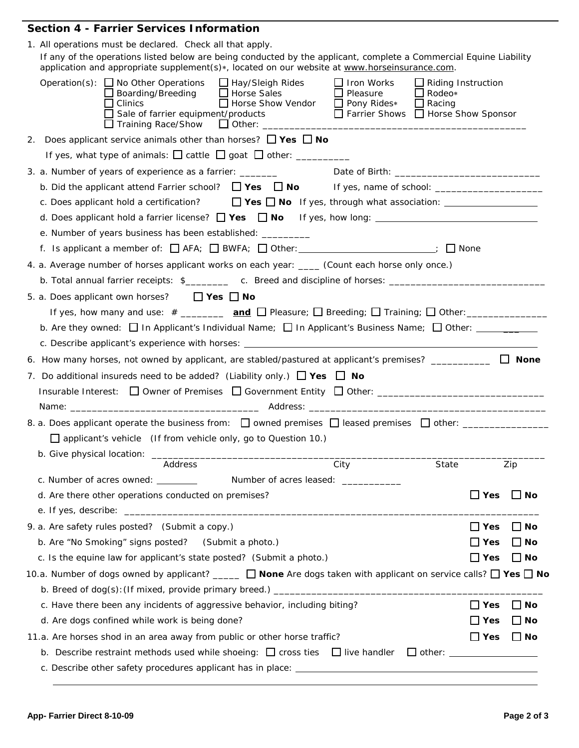## **Section 4 - Farrier Services Information**

| 1. All operations must be declared. Check all that apply.<br>If any of the operations listed below are being conducted by the applicant, complete a Commercial Equine Liability<br>application and appropriate supplement(s)*, located on our website at www.horseinsurance.com.                                                                                                       |               |              |
|----------------------------------------------------------------------------------------------------------------------------------------------------------------------------------------------------------------------------------------------------------------------------------------------------------------------------------------------------------------------------------------|---------------|--------------|
| <i>Operation(s)</i> : $\Box$ No Other Operations $\Box$ Hay/Sleigh Rides<br>$\Box$ Iron Works<br>$\Box$ Riding Instruction<br>$\Box$ Boarding/Breeding $\Box$ Horse Sales<br>$\square$ Pleasure<br>$\Box$ Rodeo*<br>Horse Show Vendor<br>$\Box$ Racing<br>$\Box$ Clinics<br>Pony Rides*<br>$\Box$ Sale of farrier equipment/products<br>$\Box$ Farrier Shows $\Box$ Horse Show Sponsor |               |              |
| 2. Does applicant service animals other than horses? $\Box$ Yes $\Box$ No                                                                                                                                                                                                                                                                                                              |               |              |
|                                                                                                                                                                                                                                                                                                                                                                                        |               |              |
| 3. a. Number of years of experience as a farrier: _______                                                                                                                                                                                                                                                                                                                              |               |              |
|                                                                                                                                                                                                                                                                                                                                                                                        |               |              |
| c. Does applicant hold a certification? $\Box$ Yes $\Box$ No If yes, through what association: $\Box$                                                                                                                                                                                                                                                                                  |               |              |
|                                                                                                                                                                                                                                                                                                                                                                                        |               |              |
| e. Number of years business has been established: _________                                                                                                                                                                                                                                                                                                                            |               |              |
| f. Is applicant a member of: □ AFA; □ BWFA; □ Other: ________________________; □ None                                                                                                                                                                                                                                                                                                  |               |              |
| 4. a. Average number of horses applicant works on each year: ____ (Count each horse only once.)                                                                                                                                                                                                                                                                                        |               |              |
| b. Total annual farrier receipts: \$________ c. Breed and discipline of horses: _____________________                                                                                                                                                                                                                                                                                  |               |              |
| 5. a. Does applicant own horses? $\Box$ Yes $\Box$ No                                                                                                                                                                                                                                                                                                                                  |               |              |
|                                                                                                                                                                                                                                                                                                                                                                                        |               |              |
| b. Are they owned: $\Box$ In Applicant's Individual Name; $\Box$ In Applicant's Business Name; $\Box$ Other: ________                                                                                                                                                                                                                                                                  |               |              |
|                                                                                                                                                                                                                                                                                                                                                                                        |               |              |
| 6. How many horses, not owned by applicant, are stabled/pastured at applicant's premises? $\Box$ None                                                                                                                                                                                                                                                                                  |               |              |
|                                                                                                                                                                                                                                                                                                                                                                                        |               |              |
| 7. Do additional insureds need to be added? (Liability only.) $\Box$ Yes $\Box$ No                                                                                                                                                                                                                                                                                                     |               |              |
|                                                                                                                                                                                                                                                                                                                                                                                        |               |              |
|                                                                                                                                                                                                                                                                                                                                                                                        |               |              |
| 8. a. Does applicant operate the business from: $\Box$ owned premises $\Box$ leased premises $\Box$ other: _________________                                                                                                                                                                                                                                                           |               |              |
| $\Box$ applicant's vehicle (If from vehicle only, go to Question 10.)                                                                                                                                                                                                                                                                                                                  |               |              |
|                                                                                                                                                                                                                                                                                                                                                                                        |               |              |
| Address<br>City<br>State                                                                                                                                                                                                                                                                                                                                                               |               | Zip          |
| c. Number of acres owned: ________<br>Number of acres leased: ____________                                                                                                                                                                                                                                                                                                             |               |              |
| d. Are there other operations conducted on premises?                                                                                                                                                                                                                                                                                                                                   | $\Box$ Yes    | $\Box$ No    |
|                                                                                                                                                                                                                                                                                                                                                                                        |               |              |
| 9. a. Are safety rules posted? (Submit a copy.)                                                                                                                                                                                                                                                                                                                                        | $\Box$ Yes    | $\Box$ No    |
| b. Are "No Smoking" signs posted?<br>(Submit a photo.)                                                                                                                                                                                                                                                                                                                                 | $\sqcup$ Yes  | ∐ No         |
| c. Is the equine law for applicant's state posted? (Submit a photo.)                                                                                                                                                                                                                                                                                                                   | $\square$ Yes | $\Box$ No    |
| 10.a. Number of dogs owned by applicant? _____ _ None Are dogs taken with applicant on service calls? $\Box$ Yes $\Box$ No                                                                                                                                                                                                                                                             |               |              |
|                                                                                                                                                                                                                                                                                                                                                                                        |               |              |
| c. Have there been any incidents of aggressive behavior, including biting?                                                                                                                                                                                                                                                                                                             | $\square$ Yes | $\square$ No |
| d. Are dogs confined while work is being done?                                                                                                                                                                                                                                                                                                                                         | $\square$ Yes | $\Box$ No    |
| 11.a. Are horses shod in an area away from public or other horse traffic?                                                                                                                                                                                                                                                                                                              | $\sqcup$ Yes  | $\Box$ No    |
| b. Describe restraint methods used while shoeing: $\Box$ cross ties $\Box$ live handler                                                                                                                                                                                                                                                                                                |               |              |